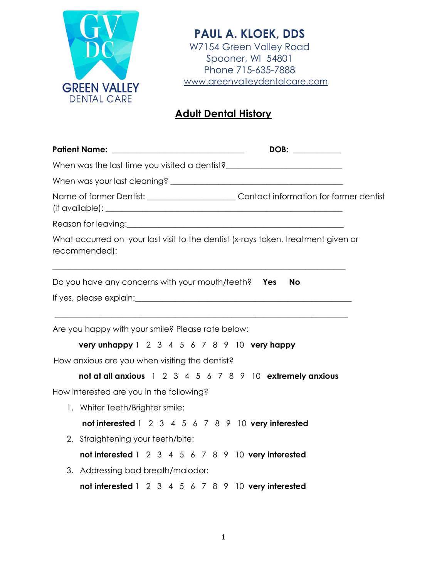

**PAUL A. KLOEK, DDS** W7154 Green Valley Road Spooner, WI 54801 Phone 715-635-7888 www.greenvalleydentalcare.com

## **Adult Dental History**

| Patient Name: ___________________________________                                                                            |    |
|------------------------------------------------------------------------------------------------------------------------------|----|
|                                                                                                                              |    |
|                                                                                                                              |    |
| Name of former Dentist: ____________________________Contact information for former dentist                                   |    |
|                                                                                                                              |    |
| What occurred on your last visit to the dentist (x-rays taken, treatment given or<br>recommended):                           |    |
| Do you have any concerns with your mouth/teeth? Yes                                                                          | No |
|                                                                                                                              |    |
| Are you happy with your smile? Please rate below:<br><b>very unhappy</b> $1 \t2 \t3 \t4 \t5 \t6 \t7 \t8 \t9 \t10$ very happy |    |
| How anxious are you when visiting the dentist?                                                                               |    |
| not at all anxious 1 2 3 4 5 6 7 8 9 10 extremely anxious                                                                    |    |
| How interested are you in the following?                                                                                     |    |
| 1. Whiter Teeth/Brighter smile:                                                                                              |    |
| not interested 1 2 3 4 5 6 7 8 9 10 very interested                                                                          |    |
| 2. Straightening your teeth/bite:                                                                                            |    |
| not interested 1 2 3 4 5 6 7 8 9 10 very interested                                                                          |    |
| 3. Addressing bad breath/malodor:                                                                                            |    |
| not interested 1 2 3 4 5 6 7 8 9 10 very interested                                                                          |    |
|                                                                                                                              |    |